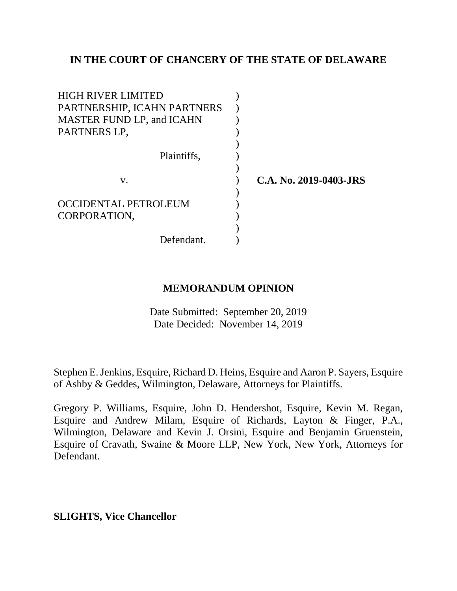# **IN THE COURT OF CHANCERY OF THE STATE OF DELAWARE**

| <b>HIGH RIVER LIMITED</b><br>PARTNERSHIP, ICAHN PARTNERS<br><b>MASTER FUND LP, and ICAHN</b><br>PARTNERS LP, |                        |
|--------------------------------------------------------------------------------------------------------------|------------------------|
| Plaintiffs,                                                                                                  |                        |
| V.                                                                                                           | C.A. No. 2019-0403-JRS |
|                                                                                                              |                        |
| <b>OCCIDENTAL PETROLEUM</b>                                                                                  |                        |
| CORPORATION,                                                                                                 |                        |
|                                                                                                              |                        |
| Defendant.                                                                                                   |                        |

# **MEMORANDUM OPINION**

Date Submitted: September 20, 2019 Date Decided: November 14, 2019

Stephen E. Jenkins, Esquire, Richard D. Heins, Esquire and Aaron P. Sayers, Esquire of Ashby & Geddes, Wilmington, Delaware, Attorneys for Plaintiffs.

Gregory P. Williams, Esquire, John D. Hendershot, Esquire, Kevin M. Regan, Esquire and Andrew Milam, Esquire of Richards, Layton & Finger, P.A., Wilmington, Delaware and Kevin J. Orsini, Esquire and Benjamin Gruenstein, Esquire of Cravath, Swaine & Moore LLP, New York, New York, Attorneys for Defendant.

**SLIGHTS, Vice Chancellor**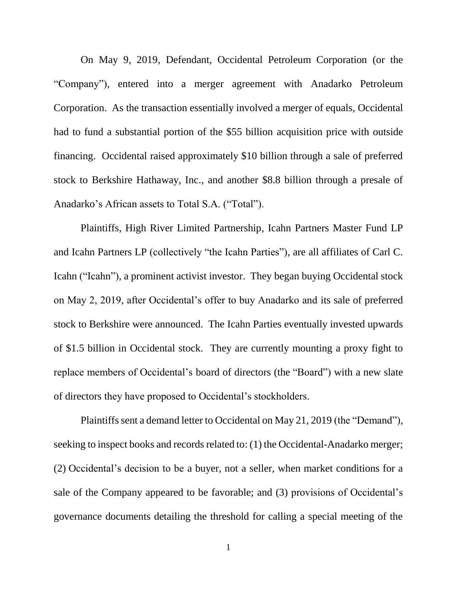On May 9, 2019, Defendant, Occidental Petroleum Corporation (or the "Company"), entered into a merger agreement with Anadarko Petroleum Corporation. As the transaction essentially involved a merger of equals, Occidental had to fund a substantial portion of the \$55 billion acquisition price with outside financing. Occidental raised approximately \$10 billion through a sale of preferred stock to Berkshire Hathaway, Inc., and another \$8.8 billion through a presale of Anadarko's African assets to Total S.A. ("Total").

Plaintiffs, High River Limited Partnership, Icahn Partners Master Fund LP and Icahn Partners LP (collectively "the Icahn Parties"), are all affiliates of Carl C. Icahn ("Icahn"), a prominent activist investor. They began buying Occidental stock on May 2, 2019, after Occidental's offer to buy Anadarko and its sale of preferred stock to Berkshire were announced. The Icahn Parties eventually invested upwards of \$1.5 billion in Occidental stock. They are currently mounting a proxy fight to replace members of Occidental's board of directors (the "Board") with a new slate of directors they have proposed to Occidental's stockholders.

Plaintiffs sent a demand letter to Occidental on May 21, 2019 (the "Demand"), seeking to inspect books and records related to: (1) the Occidental-Anadarko merger; (2) Occidental's decision to be a buyer, not a seller, when market conditions for a sale of the Company appeared to be favorable; and (3) provisions of Occidental's governance documents detailing the threshold for calling a special meeting of the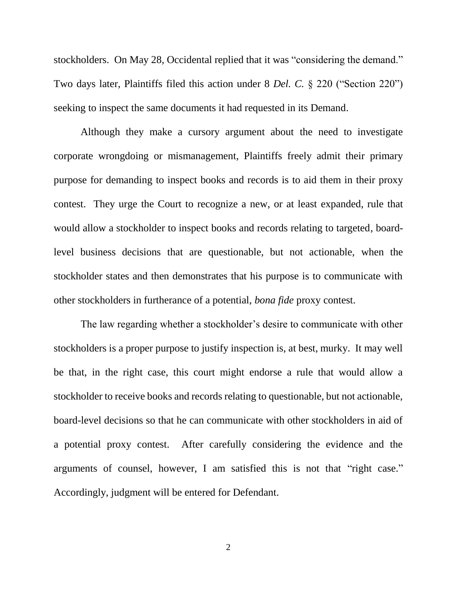stockholders. On May 28, Occidental replied that it was "considering the demand." Two days later, Plaintiffs filed this action under 8 *Del. C.* § 220 ("Section 220") seeking to inspect the same documents it had requested in its Demand.

Although they make a cursory argument about the need to investigate corporate wrongdoing or mismanagement, Plaintiffs freely admit their primary purpose for demanding to inspect books and records is to aid them in their proxy contest. They urge the Court to recognize a new, or at least expanded, rule that would allow a stockholder to inspect books and records relating to targeted, boardlevel business decisions that are questionable, but not actionable, when the stockholder states and then demonstrates that his purpose is to communicate with other stockholders in furtherance of a potential, *bona fide* proxy contest.

The law regarding whether a stockholder's desire to communicate with other stockholders is a proper purpose to justify inspection is, at best, murky. It may well be that, in the right case, this court might endorse a rule that would allow a stockholder to receive books and records relating to questionable, but not actionable, board-level decisions so that he can communicate with other stockholders in aid of a potential proxy contest. After carefully considering the evidence and the arguments of counsel, however, I am satisfied this is not that "right case." Accordingly, judgment will be entered for Defendant.

2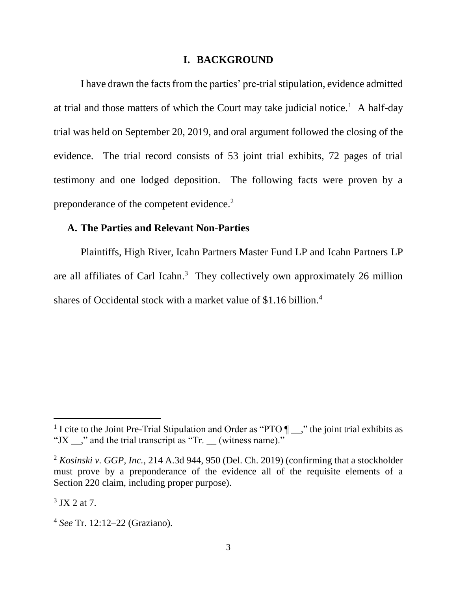#### **I. BACKGROUND**

I have drawn the facts from the parties' pre-trial stipulation, evidence admitted at trial and those matters of which the Court may take judicial notice.<sup>1</sup> A half-day trial was held on September 20, 2019, and oral argument followed the closing of the evidence. The trial record consists of 53 joint trial exhibits, 72 pages of trial testimony and one lodged deposition. The following facts were proven by a preponderance of the competent evidence.<sup>2</sup>

## **A. The Parties and Relevant Non-Parties**

Plaintiffs, High River, Icahn Partners Master Fund LP and Icahn Partners LP are all affiliates of Carl Icahn.<sup>3</sup> They collectively own approximately 26 million shares of Occidental stock with a market value of \$1.16 billion.<sup>4</sup>

<sup>&</sup>lt;sup>1</sup> I cite to the Joint Pre-Trial Stipulation and Order as "PTO  $\P$ , the joint trial exhibits as "JX  $\therefore$ " and the trial transcript as "Tr. (witness name)."

<sup>2</sup> *Kosinski v. GGP, Inc.*, 214 A.3d 944, 950 (Del. Ch. 2019) (confirming that a stockholder must prove by a preponderance of the evidence all of the requisite elements of a Section 220 claim, including proper purpose).

 $3$  JX 2 at 7.

<sup>4</sup> *See* Tr. 12:12–22 (Graziano).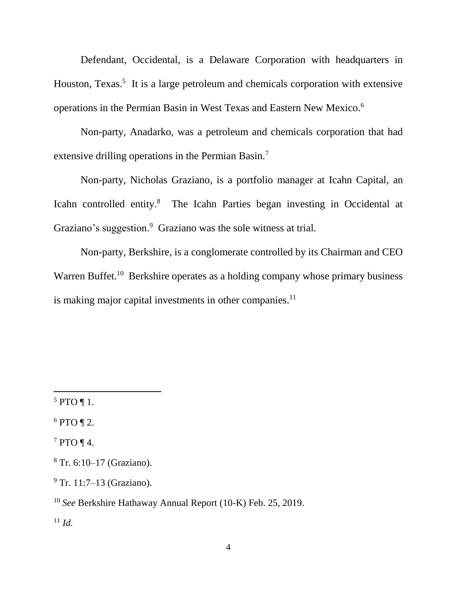Defendant, Occidental, is a Delaware Corporation with headquarters in Houston, Texas.<sup>5</sup> It is a large petroleum and chemicals corporation with extensive operations in the Permian Basin in West Texas and Eastern New Mexico.<sup>6</sup>

Non-party, Anadarko, was a petroleum and chemicals corporation that had extensive drilling operations in the Permian Basin.<sup>7</sup>

Non-party, Nicholas Graziano, is a portfolio manager at Icahn Capital, an Icahn controlled entity.<sup>8</sup> The Icahn Parties began investing in Occidental at Graziano's suggestion.<sup>9</sup> Graziano was the sole witness at trial.

Non-party, Berkshire, is a conglomerate controlled by its Chairman and CEO Warren Buffet.<sup>10</sup> Berkshire operates as a holding company whose primary business is making major capital investments in other companies.<sup>11</sup>

 $\overline{a}$ 

 $6$  PTO ¶ 2.

 $7$  PTO ¶ 4.

<sup>11</sup> *Id.*

 $5$  PTO ¶ 1.

<sup>8</sup> Tr. 6:10–17 (Graziano).

 $9$  Tr. 11:7–13 (Graziano).

<sup>10</sup> *See* Berkshire Hathaway Annual Report (10-K) Feb. 25, 2019.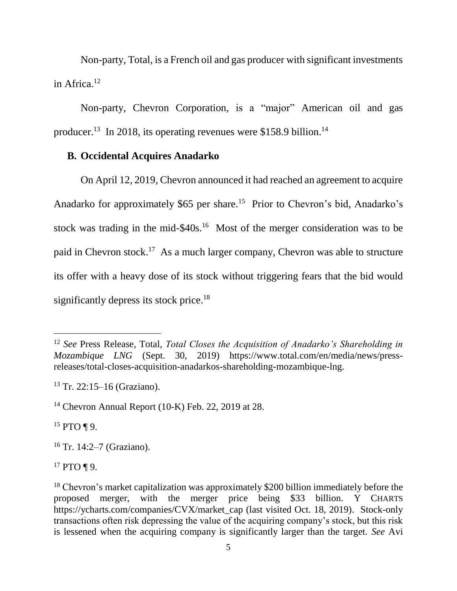Non-party, Total, is a French oil and gas producer with significant investments in Africa.<sup>12</sup>

Non-party, Chevron Corporation, is a "major" American oil and gas producer.<sup>13</sup> In 2018, its operating revenues were \$158.9 billion.<sup>14</sup>

#### **B. Occidental Acquires Anadarko**

On April 12, 2019, Chevron announced it had reached an agreement to acquire Anadarko for approximately \$65 per share.<sup>15</sup> Prior to Chevron's bid, Anadarko's stock was trading in the mid- $$40s$ .<sup>16</sup> Most of the merger consideration was to be paid in Chevron stock.<sup>17</sup> As a much larger company, Chevron was able to structure its offer with a heavy dose of its stock without triggering fears that the bid would significantly depress its stock price.<sup>18</sup>

 $15$  PTO ¶ 9.

l

 $17$  PTO ¶ 9.

<sup>12</sup> *See* Press Release, Total, *Total Closes the Acquisition of Anadarko's Shareholding in Mozambique LNG* (Sept. 30, 2019) https://www.total.com/en/media/news/pressreleases/total-closes-acquisition-anadarkos-shareholding-mozambique-lng.

 $13$  Tr. 22:15–16 (Graziano).

<sup>14</sup> Chevron Annual Report (10-K) Feb. 22, 2019 at 28.

<sup>16</sup> Tr. 14:2–7 (Graziano).

<sup>&</sup>lt;sup>18</sup> Chevron's market capitalization was approximately \$200 billion immediately before the proposed merger, with the merger price being \$33 billion. Y CHARTS https://ycharts.com/companies/CVX/market\_cap (last visited Oct. 18, 2019). Stock-only transactions often risk depressing the value of the acquiring company's stock, but this risk is lessened when the acquiring company is significantly larger than the target. *See* Avi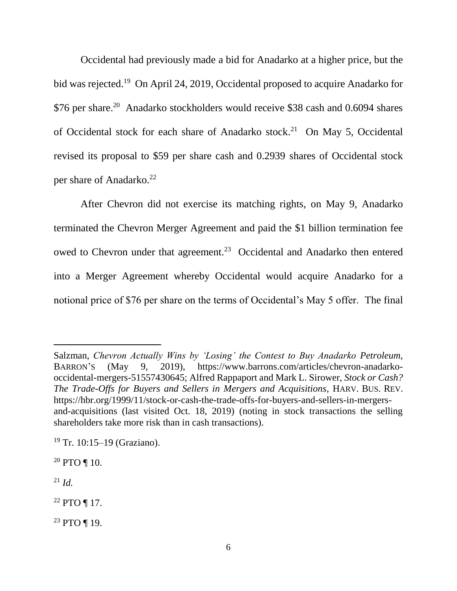Occidental had previously made a bid for Anadarko at a higher price, but the bid was rejected.<sup>19</sup> On April 24, 2019, Occidental proposed to acquire Anadarko for \$76 per share.<sup>20</sup> Anadarko stockholders would receive \$38 cash and 0.6094 shares of Occidental stock for each share of Anadarko stock.<sup>21</sup> On May 5, Occidental revised its proposal to \$59 per share cash and 0.2939 shares of Occidental stock per share of Anadarko.<sup>22</sup>

After Chevron did not exercise its matching rights, on May 9, Anadarko terminated the Chevron Merger Agreement and paid the \$1 billion termination fee owed to Chevron under that agreement.<sup>23</sup> Occidental and Anadarko then entered into a Merger Agreement whereby Occidental would acquire Anadarko for a notional price of \$76 per share on the terms of Occidental's May 5 offer. The final

<sup>21</sup> *Id.*

l

<sup>22</sup> PTO ¶ 17.

<sup>23</sup> PTO ¶ 19.

Salzman, *Chevron Actually Wins by 'Losing' the Contest to Buy Anadarko Petroleum*, BARRON'S (May 9, 2019), https://www.barrons.com/articles/chevron-anadarkooccidental-mergers-51557430645; Alfred Rappaport and Mark L. Sirower, *Stock or Cash? The Trade-Offs for Buyers and Sellers in Mergers and Acquisitions*, HARV. BUS. REV. https://hbr.org/1999/11/stock-or-cash-the-trade-offs-for-buyers-and-sellers-in-mergersand-acquisitions (last visited Oct. 18, 2019) (noting in stock transactions the selling shareholders take more risk than in cash transactions).

<sup>&</sup>lt;sup>19</sup> Tr. 10:15–19 (Graziano).

 $20$  PTO ¶ 10.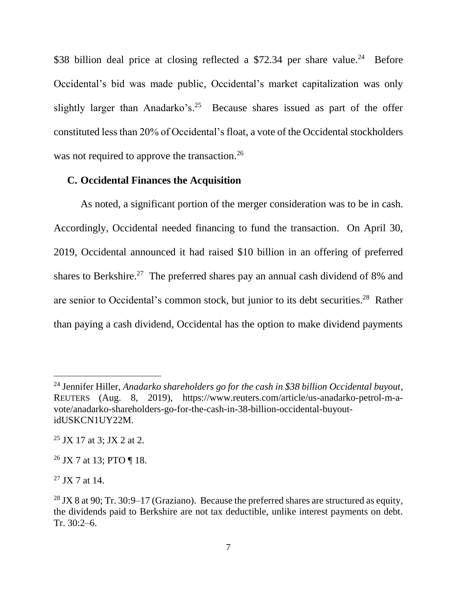\$38 billion deal price at closing reflected a \$72.34 per share value.<sup>24</sup> Before Occidental's bid was made public, Occidental's market capitalization was only slightly larger than Anadarko's.<sup>25</sup> Because shares issued as part of the offer constituted less than 20% of Occidental's float, a vote of the Occidental stockholders was not required to approve the transaction.<sup>26</sup>

### **C. Occidental Finances the Acquisition**

As noted, a significant portion of the merger consideration was to be in cash. Accordingly, Occidental needed financing to fund the transaction. On April 30, 2019, Occidental announced it had raised \$10 billion in an offering of preferred shares to Berkshire.<sup>27</sup> The preferred shares pay an annual cash dividend of 8% and are senior to Occidental's common stock, but junior to its debt securities.<sup>28</sup> Rather than paying a cash dividend, Occidental has the option to make dividend payments

<sup>24</sup> Jennifer Hiller, *Anadarko shareholders go for the cash in \$38 billion Occidental buyout*, REUTERS (Aug. 8, 2019), https://www.reuters.com/article/us-anadarko-petrol-m-avote/anadarko-shareholders-go-for-the-cash-in-38-billion-occidental-buyoutidUSKCN1UY22M.

 $25$  JX 17 at 3; JX 2 at 2.

 $26$  JX 7 at 13; PTO ¶ 18.

 $^{27}$  JX 7 at 14.

<sup>&</sup>lt;sup>28</sup> JX 8 at 90; Tr. 30:9–17 (Graziano). Because the preferred shares are structured as equity, the dividends paid to Berkshire are not tax deductible, unlike interest payments on debt. Tr. 30:2–6.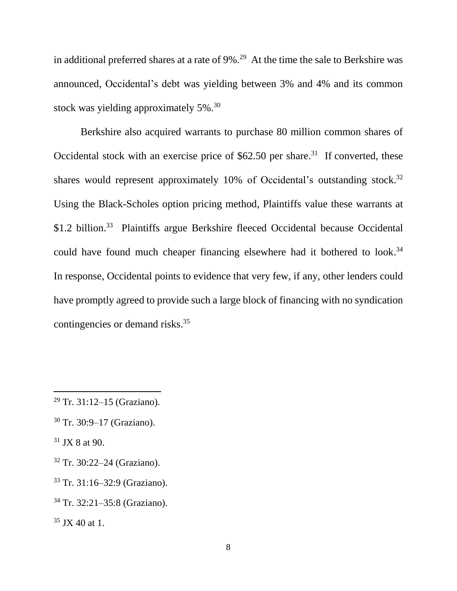in additional preferred shares at a rate of  $9\%$ .<sup>29</sup> At the time the sale to Berkshire was announced, Occidental's debt was yielding between 3% and 4% and its common stock was yielding approximately 5%.<sup>30</sup>

Berkshire also acquired warrants to purchase 80 million common shares of Occidental stock with an exercise price of  $$62.50$  per share.<sup>31</sup> If converted, these shares would represent approximately 10% of Occidental's outstanding stock.<sup>32</sup> Using the Black-Scholes option pricing method, Plaintiffs value these warrants at \$1.2 billion.<sup>33</sup> Plaintiffs argue Berkshire fleeced Occidental because Occidental could have found much cheaper financing elsewhere had it bothered to look.<sup>34</sup> In response, Occidental points to evidence that very few, if any, other lenders could have promptly agreed to provide such a large block of financing with no syndication contingencies or demand risks. 35

<sup>29</sup> Tr. 31:12–15 (Graziano).

<sup>30</sup> Tr. 30:9–17 (Graziano).

 $31$  JX 8 at 90.

<sup>32</sup> Tr. 30:22–24 (Graziano).

<sup>33</sup> Tr. 31:16–32:9 (Graziano).

<sup>34</sup> Tr. 32:21–35:8 (Graziano).

 $35$  JX 40 at 1.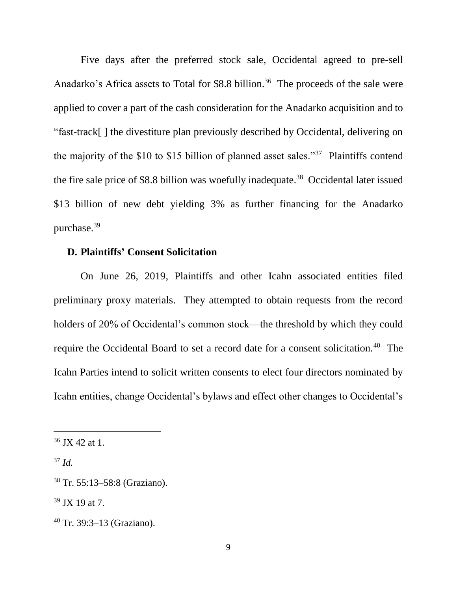Five days after the preferred stock sale, Occidental agreed to pre-sell Anadarko's Africa assets to Total for  $$8.8$  billion.<sup>36</sup> The proceeds of the sale were applied to cover a part of the cash consideration for the Anadarko acquisition and to "fast-track[ ] the divestiture plan previously described by Occidental, delivering on the majority of the \$10 to \$15 billion of planned asset sales."<sup>37</sup> Plaintiffs contend the fire sale price of \$8.8 billion was woefully inadequate.<sup>38</sup> Occidental later issued \$13 billion of new debt yielding 3% as further financing for the Anadarko purchase.<sup>39</sup>

### **D. Plaintiffs' Consent Solicitation**

On June 26, 2019, Plaintiffs and other Icahn associated entities filed preliminary proxy materials. They attempted to obtain requests from the record holders of 20% of Occidental's common stock—the threshold by which they could require the Occidental Board to set a record date for a consent solicitation.<sup>40</sup> The Icahn Parties intend to solicit written consents to elect four directors nominated by Icahn entities, change Occidental's bylaws and effect other changes to Occidental's

 $36$  JX 42 at 1.

<sup>37</sup> *Id.*

<sup>38</sup> Tr. 55:13–58:8 (Graziano).

 $39$  JX 19 at 7.

<sup>40</sup> Tr. 39:3–13 (Graziano).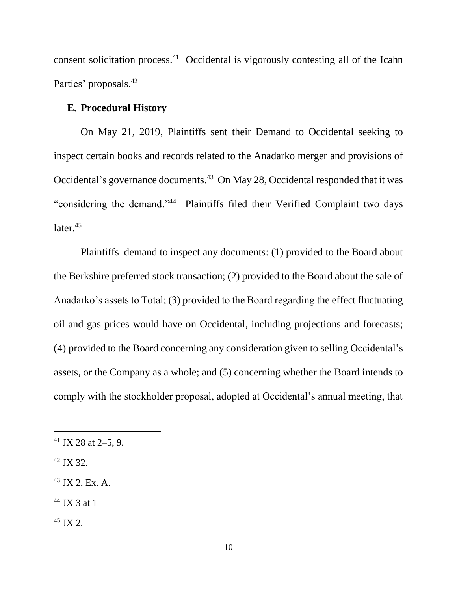consent solicitation process. $41$  Occidental is vigorously contesting all of the Icahn Parties' proposals.<sup>42</sup>

#### **E. Procedural History**

On May 21, 2019, Plaintiffs sent their Demand to Occidental seeking to inspect certain books and records related to the Anadarko merger and provisions of Occidental's governance documents.<sup>43</sup> On May 28, Occidental responded that it was "considering the demand."<sup>44</sup> Plaintiffs filed their Verified Complaint two days later. 45

Plaintiffs demand to inspect any documents: (1) provided to the Board about the Berkshire preferred stock transaction; (2) provided to the Board about the sale of Anadarko's assets to Total; (3) provided to the Board regarding the effect fluctuating oil and gas prices would have on Occidental, including projections and forecasts; (4) provided to the Board concerning any consideration given to selling Occidental's assets, or the Company as a whole; and (5) concerning whether the Board intends to comply with the stockholder proposal, adopted at Occidental's annual meeting, that

<sup>42</sup> JX 32.

- <sup>43</sup> JX 2, Ex. A.
- $44$  JX 3 at 1
- $45$  JX 2.

 $41$  JX 28 at 2–5, 9.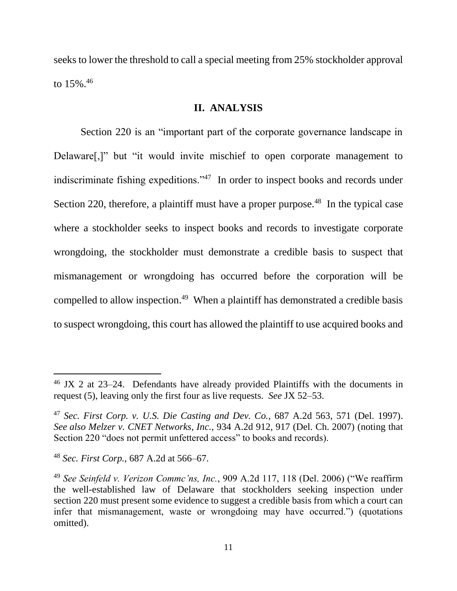seeks to lower the threshold to call a special meeting from 25% stockholder approval to 15%. 46

### **II. ANALYSIS**

Section 220 is an "important part of the corporate governance landscape in Delaware[,]" but "it would invite mischief to open corporate management to indiscriminate fishing expeditions."<sup>47</sup> In order to inspect books and records under Section 220, therefore, a plaintiff must have a proper purpose.<sup>48</sup> In the typical case where a stockholder seeks to inspect books and records to investigate corporate wrongdoing, the stockholder must demonstrate a credible basis to suspect that mismanagement or wrongdoing has occurred before the corporation will be compelled to allow inspection.<sup>49</sup> When a plaintiff has demonstrated a credible basis to suspect wrongdoing, this court has allowed the plaintiff to use acquired books and

 $46$  JX 2 at 23–24. Defendants have already provided Plaintiffs with the documents in request (5), leaving only the first four as live requests. *See* JX 52–53.

<sup>47</sup> *Sec. First Corp. v. U.S. Die Casting and Dev. Co.*, 687 A.2d 563, 571 (Del. 1997). *See also Melzer v. CNET Networks, Inc.*, 934 A.2d 912, 917 (Del. Ch. 2007) (noting that Section 220 "does not permit unfettered access" to books and records).

<sup>48</sup> *Sec. First Corp.*, 687 A.2d at 566–67.

<sup>49</sup> *See Seinfeld v. Verizon Commc'ns, Inc.*, 909 A.2d 117, 118 (Del. 2006) ("We reaffirm the well-established law of Delaware that stockholders seeking inspection under section 220 must present some evidence to suggest a credible basis from which a court can infer that mismanagement, waste or wrongdoing may have occurred.") (quotations omitted).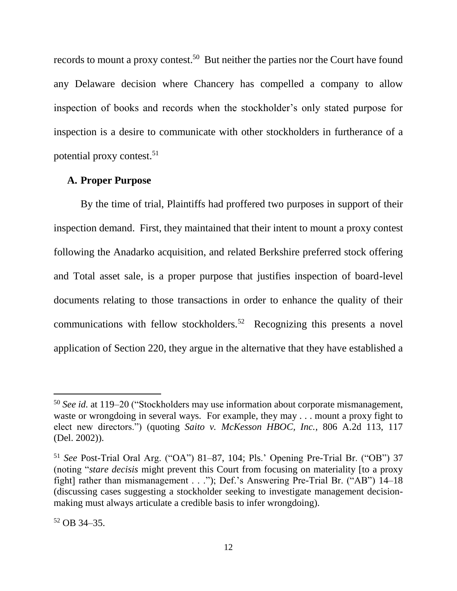records to mount a proxy contest.<sup>50</sup> But neither the parties nor the Court have found any Delaware decision where Chancery has compelled a company to allow inspection of books and records when the stockholder's only stated purpose for inspection is a desire to communicate with other stockholders in furtherance of a potential proxy contest.<sup>51</sup>

#### **A. Proper Purpose**

By the time of trial, Plaintiffs had proffered two purposes in support of their inspection demand. First, they maintained that their intent to mount a proxy contest following the Anadarko acquisition, and related Berkshire preferred stock offering and Total asset sale, is a proper purpose that justifies inspection of board-level documents relating to those transactions in order to enhance the quality of their communications with fellow stockholders.<sup>52</sup> Recognizing this presents a novel application of Section 220, they argue in the alternative that they have established a

<sup>50</sup> *See id.* at 119–20 ("Stockholders may use information about corporate mismanagement, waste or wrongdoing in several ways. For example, they may . . . mount a proxy fight to elect new directors.") (quoting *Saito v. McKesson HBOC, Inc.*, 806 A.2d 113, 117 (Del. 2002)).

<sup>51</sup> *See* Post-Trial Oral Arg. ("OA") 81–87, 104; Pls.' Opening Pre-Trial Br. ("OB") 37 (noting "*stare decisis* might prevent this Court from focusing on materiality [to a proxy fight] rather than mismanagement . . ."); Def.'s Answering Pre-Trial Br. ("AB") 14–18 (discussing cases suggesting a stockholder seeking to investigate management decisionmaking must always articulate a credible basis to infer wrongdoing).

<sup>52</sup> OB 34–35.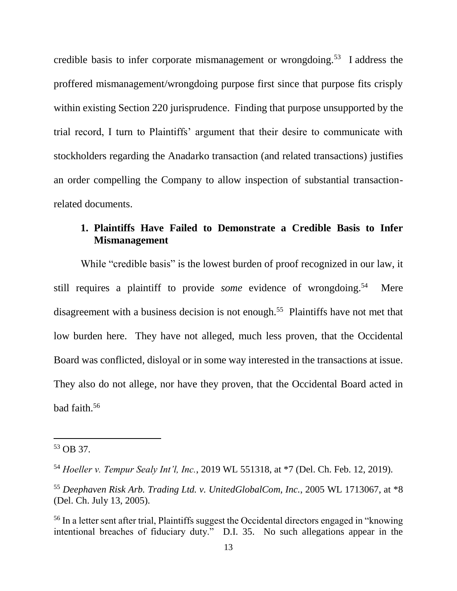credible basis to infer corporate mismanagement or wrongdoing.<sup>53</sup> I address the proffered mismanagement/wrongdoing purpose first since that purpose fits crisply within existing Section 220 jurisprudence. Finding that purpose unsupported by the trial record, I turn to Plaintiffs' argument that their desire to communicate with stockholders regarding the Anadarko transaction (and related transactions) justifies an order compelling the Company to allow inspection of substantial transactionrelated documents.

# **1. Plaintiffs Have Failed to Demonstrate a Credible Basis to Infer Mismanagement**

While "credible basis" is the lowest burden of proof recognized in our law, it still requires a plaintiff to provide *some* evidence of wrongdoing.<sup>54</sup> Mere disagreement with a business decision is not enough.<sup>55</sup> Plaintiffs have not met that low burden here. They have not alleged, much less proven, that the Occidental Board was conflicted, disloyal or in some way interested in the transactions at issue. They also do not allege, nor have they proven, that the Occidental Board acted in bad faith.<sup>56</sup>

<sup>53</sup> OB 37.

<sup>54</sup> *Hoeller v. Tempur Sealy Int'l, Inc.*, 2019 WL 551318, at \*7 (Del. Ch. Feb. 12, 2019).

<sup>55</sup> *Deephaven Risk Arb. Trading Ltd. v. UnitedGlobalCom, Inc.*, 2005 WL 1713067, at \*8 (Del. Ch. July 13, 2005).

<sup>56</sup> In a letter sent after trial, Plaintiffs suggest the Occidental directors engaged in "knowing intentional breaches of fiduciary duty." D.I. 35. No such allegations appear in the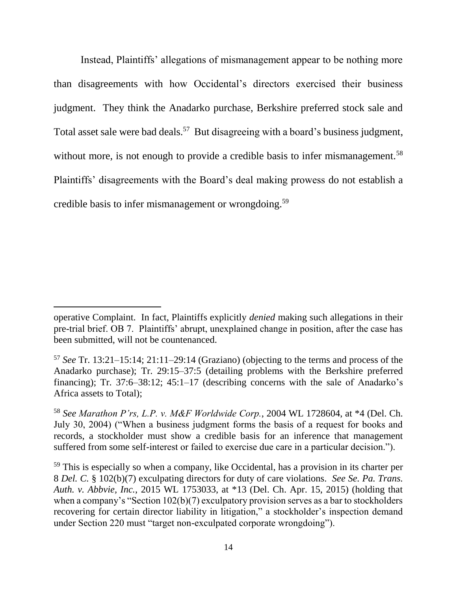Instead, Plaintiffs' allegations of mismanagement appear to be nothing more than disagreements with how Occidental's directors exercised their business judgment. They think the Anadarko purchase, Berkshire preferred stock sale and Total asset sale were bad deals.<sup>57</sup> But disagreeing with a board's business judgment, without more, is not enough to provide a credible basis to infer mismanagement.<sup>58</sup> Plaintiffs' disagreements with the Board's deal making prowess do not establish a credible basis to infer mismanagement or wrongdoing.<sup>59</sup>

operative Complaint. In fact, Plaintiffs explicitly *denied* making such allegations in their pre-trial brief. OB 7. Plaintiffs' abrupt, unexplained change in position, after the case has been submitted, will not be countenanced.

<sup>57</sup> *See* Tr. 13:21–15:14; 21:11–29:14 (Graziano) (objecting to the terms and process of the Anadarko purchase); Tr. 29:15–37:5 (detailing problems with the Berkshire preferred financing); Tr. 37:6–38:12; 45:1–17 (describing concerns with the sale of Anadarko's Africa assets to Total);

<sup>58</sup> *See Marathon P'rs, L.P. v. M&F Worldwide Corp.*, 2004 WL 1728604, at \*4 (Del. Ch. July 30, 2004) ("When a business judgment forms the basis of a request for books and records, a stockholder must show a credible basis for an inference that management suffered from some self-interest or failed to exercise due care in a particular decision.").

<sup>&</sup>lt;sup>59</sup> This is especially so when a company, like Occidental, has a provision in its charter per 8 *Del. C.* § 102(b)(7) exculpating directors for duty of care violations. *See Se. Pa. Trans. Auth. v. Abbvie, Inc.*, 2015 WL 1753033, at \*13 (Del. Ch. Apr. 15, 2015) (holding that when a company's "Section 102(b)(7) exculpatory provision serves as a bar to stockholders recovering for certain director liability in litigation," a stockholder's inspection demand under Section 220 must "target non-exculpated corporate wrongdoing").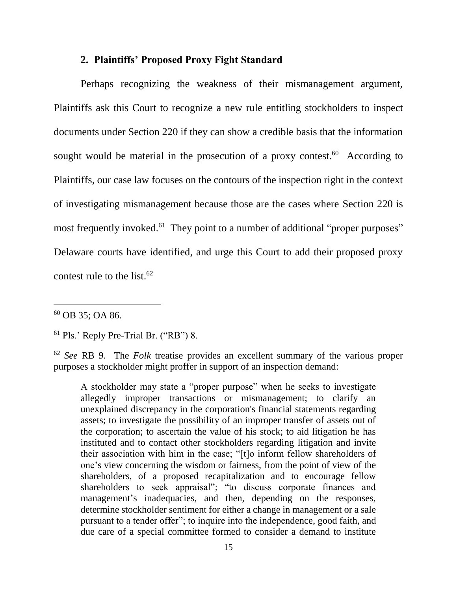### **2. Plaintiffs' Proposed Proxy Fight Standard**

Perhaps recognizing the weakness of their mismanagement argument, Plaintiffs ask this Court to recognize a new rule entitling stockholders to inspect documents under Section 220 if they can show a credible basis that the information sought would be material in the prosecution of a proxy contest.<sup>60</sup> According to Plaintiffs, our case law focuses on the contours of the inspection right in the context of investigating mismanagement because those are the cases where Section 220 is most frequently invoked.<sup>61</sup> They point to a number of additional "proper purposes" Delaware courts have identified, and urge this Court to add their proposed proxy contest rule to the list. $62$ 

<sup>60</sup> OB 35; OA 86.

l

<sup>61</sup> Pls.' Reply Pre-Trial Br. ("RB") 8.

<sup>62</sup> *See* RB 9. The *Folk* treatise provides an excellent summary of the various proper purposes a stockholder might proffer in support of an inspection demand:

A stockholder may state a "proper purpose" when he seeks to investigate allegedly improper transactions or mismanagement; to clarify an unexplained discrepancy in the corporation's financial statements regarding assets; to investigate the possibility of an improper transfer of assets out of the corporation; to ascertain the value of his stock; to aid litigation he has instituted and to contact other stockholders regarding litigation and invite their association with him in the case; "[t]o inform fellow shareholders of one's view concerning the wisdom or fairness, from the point of view of the shareholders, of a proposed recapitalization and to encourage fellow shareholders to seek appraisal"; "to discuss corporate finances and management's inadequacies, and then, depending on the responses, determine stockholder sentiment for either a change in management or a sale pursuant to a tender offer"; to inquire into the independence, good faith, and due care of a special committee formed to consider a demand to institute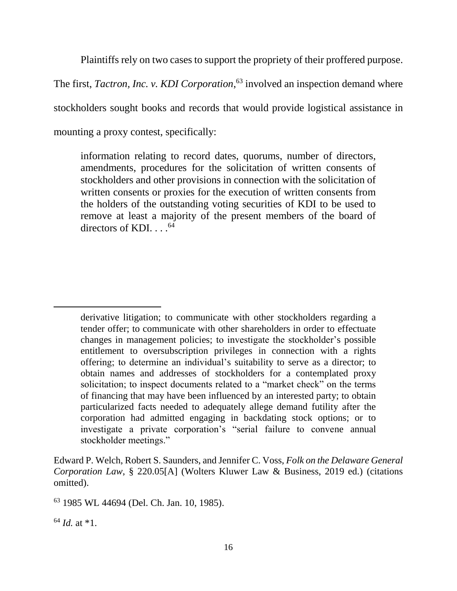Plaintiffs rely on two cases to support the propriety of their proffered purpose.

The first, *Tactron, Inc. v. KDI Corporation*, <sup>63</sup> involved an inspection demand where

stockholders sought books and records that would provide logistical assistance in

mounting a proxy contest, specifically:

information relating to record dates, quorums, number of directors, amendments, procedures for the solicitation of written consents of stockholders and other provisions in connection with the solicitation of written consents or proxies for the execution of written consents from the holders of the outstanding voting securities of KDI to be used to remove at least a majority of the present members of the board of directors of KDI... $^{64}$ 

Edward P. Welch, Robert S. Saunders, and Jennifer C. Voss, *Folk on the Delaware General Corporation Law*, § 220.05[A] (Wolters Kluwer Law & Business, 2019 ed.) (citations omitted).

<sup>63</sup> 1985 WL 44694 (Del. Ch. Jan. 10, 1985).

<sup>64</sup> *Id.* at \*1.

derivative litigation; to communicate with other stockholders regarding a tender offer; to communicate with other shareholders in order to effectuate changes in management policies; to investigate the stockholder's possible entitlement to oversubscription privileges in connection with a rights offering; to determine an individual's suitability to serve as a director; to obtain names and addresses of stockholders for a contemplated proxy solicitation; to inspect documents related to a "market check" on the terms of financing that may have been influenced by an interested party; to obtain particularized facts needed to adequately allege demand futility after the corporation had admitted engaging in backdating stock options; or to investigate a private corporation's "serial failure to convene annual stockholder meetings."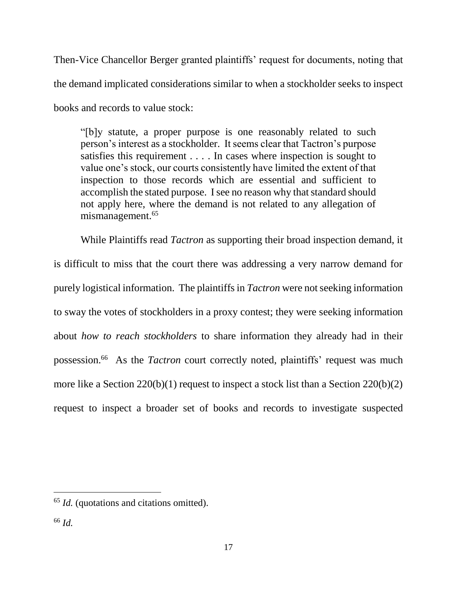Then-Vice Chancellor Berger granted plaintiffs' request for documents, noting that the demand implicated considerations similar to when a stockholder seeks to inspect books and records to value stock:

"[b]y statute, a proper purpose is one reasonably related to such person's interest as a stockholder. It seems clear that Tactron's purpose satisfies this requirement . . . . In cases where inspection is sought to value one's stock, our courts consistently have limited the extent of that inspection to those records which are essential and sufficient to accomplish the stated purpose. I see no reason why that standard should not apply here, where the demand is not related to any allegation of mismanagement.<sup>65</sup>

While Plaintiffs read *Tactron* as supporting their broad inspection demand, it is difficult to miss that the court there was addressing a very narrow demand for purely logistical information. The plaintiffs in *Tactron* were not seeking information to sway the votes of stockholders in a proxy contest; they were seeking information about *how to reach stockholders* to share information they already had in their possession.<sup>66</sup> As the *Tactron* court correctly noted, plaintiffs' request was much more like a Section 220(b)(1) request to inspect a stock list than a Section 220(b)(2) request to inspect a broader set of books and records to investigate suspected

<sup>65</sup> *Id.* (quotations and citations omitted).

<sup>66</sup> *Id.*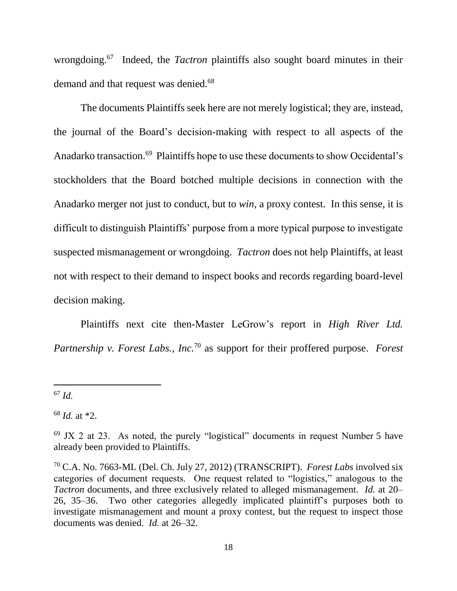wrongdoing.<sup>67</sup> Indeed, the *Tactron* plaintiffs also sought board minutes in their demand and that request was denied.<sup>68</sup>

The documents Plaintiffs seek here are not merely logistical; they are, instead, the journal of the Board's decision-making with respect to all aspects of the Anadarko transaction. <sup>69</sup> Plaintiffs hope to use these documents to show Occidental's stockholders that the Board botched multiple decisions in connection with the Anadarko merger not just to conduct, but to *win*, a proxy contest. In this sense, it is difficult to distinguish Plaintiffs' purpose from a more typical purpose to investigate suspected mismanagement or wrongdoing. *Tactron* does not help Plaintiffs, at least not with respect to their demand to inspect books and records regarding board-level decision making.

Plaintiffs next cite then-Master LeGrow's report in *High River Ltd. Partnership v. Forest Labs., Inc.*<sup>70</sup> as support for their proffered purpose. *Forest* 

<sup>67</sup> *Id.* 

 $\overline{a}$ 

<sup>68</sup> *Id.* at \*2.

 $69$  JX 2 at 23. As noted, the purely "logistical" documents in request Number 5 have already been provided to Plaintiffs.

<sup>70</sup> C.A. No. 7663-ML (Del. Ch. July 27, 2012) (TRANSCRIPT). *Forest Labs* involved six categories of document requests. One request related to "logistics," analogous to the *Tactron* documents, and three exclusively related to alleged mismanagement. *Id.* at 20– 26, 35–36. Two other categories allegedly implicated plaintiff's purposes both to investigate mismanagement and mount a proxy contest, but the request to inspect those documents was denied. *Id.* at 26–32.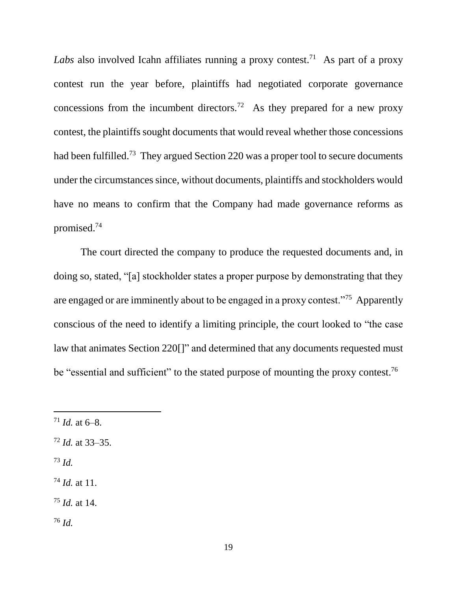*Labs* also involved Icahn affiliates running a proxy contest.<sup>71</sup> As part of a proxy contest run the year before, plaintiffs had negotiated corporate governance concessions from the incumbent directors.<sup>72</sup> As they prepared for a new proxy contest, the plaintiffs sought documents that would reveal whether those concessions had been fulfilled.<sup>73</sup> They argued Section 220 was a proper tool to secure documents under the circumstances since, without documents, plaintiffs and stockholders would have no means to confirm that the Company had made governance reforms as promised. 74

The court directed the company to produce the requested documents and, in doing so, stated, "[a] stockholder states a proper purpose by demonstrating that they are engaged or are imminently about to be engaged in a proxy contest."<sup>75</sup> Apparently conscious of the need to identify a limiting principle, the court looked to "the case law that animates Section 220[]" and determined that any documents requested must be "essential and sufficient" to the stated purpose of mounting the proxy contest.<sup>76</sup>

- <sup>72</sup> *Id.* at 33–35.
- <sup>73</sup> *Id.*

- <sup>74</sup> *Id.* at 11.
- <sup>75</sup> *Id.* at 14.
- <sup>76</sup> *Id.*

 $71$  *Id.* at 6–8.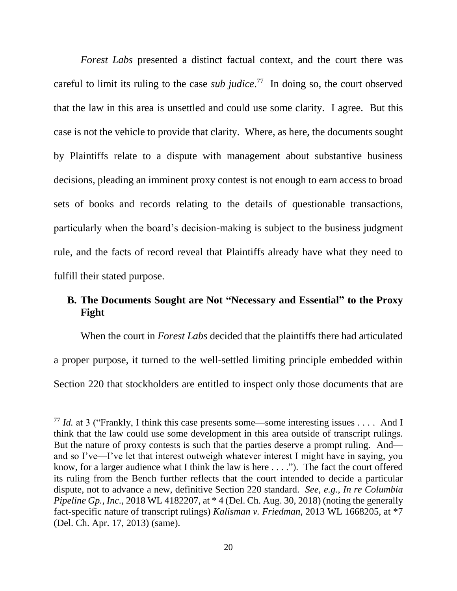*Forest Labs* presented a distinct factual context, and the court there was careful to limit its ruling to the case *sub judice*.<sup>77</sup> In doing so, the court observed that the law in this area is unsettled and could use some clarity. I agree. But this case is not the vehicle to provide that clarity. Where, as here, the documents sought by Plaintiffs relate to a dispute with management about substantive business decisions, pleading an imminent proxy contest is not enough to earn access to broad sets of books and records relating to the details of questionable transactions, particularly when the board's decision-making is subject to the business judgment rule, and the facts of record reveal that Plaintiffs already have what they need to fulfill their stated purpose.

# **B. The Documents Sought are Not "Necessary and Essential" to the Proxy Fight**

When the court in *Forest Labs* decided that the plaintiffs there had articulated a proper purpose, it turned to the well-settled limiting principle embedded within Section 220 that stockholders are entitled to inspect only those documents that are

<sup>&</sup>lt;sup>77</sup> *Id.* at 3 ("Frankly, I think this case presents some—some interesting issues . . . . And I think that the law could use some development in this area outside of transcript rulings. But the nature of proxy contests is such that the parties deserve a prompt ruling. And and so I've—I've let that interest outweigh whatever interest I might have in saying, you know, for a larger audience what I think the law is here . . . ."). The fact the court offered its ruling from the Bench further reflects that the court intended to decide a particular dispute, not to advance a new, definitive Section 220 standard. *See, e.g.*, *In re Columbia Pipeline Gp., Inc.*, 2018 WL 4182207, at \* 4 (Del. Ch. Aug. 30, 2018) (noting the generally fact-specific nature of transcript rulings) *Kalisman v. Friedman*, 2013 WL 1668205, at \*7 (Del. Ch. Apr. 17, 2013) (same).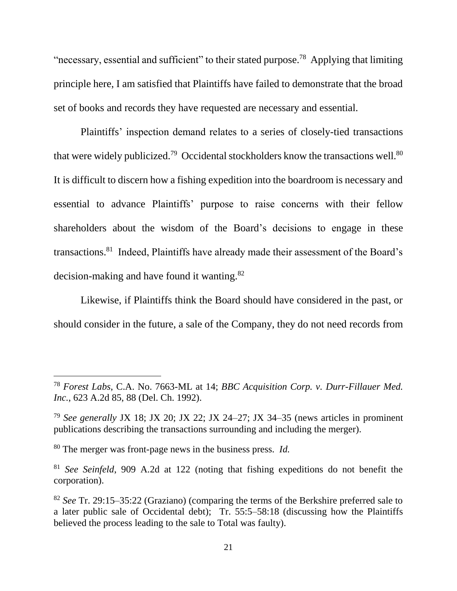"necessary, essential and sufficient" to their stated purpose.<sup>78</sup> Applying that limiting principle here, I am satisfied that Plaintiffs have failed to demonstrate that the broad set of books and records they have requested are necessary and essential.

Plaintiffs' inspection demand relates to a series of closely-tied transactions that were widely publicized.<sup>79</sup> Occidental stockholders know the transactions well. $80$ It is difficult to discern how a fishing expedition into the boardroom is necessary and essential to advance Plaintiffs' purpose to raise concerns with their fellow shareholders about the wisdom of the Board's decisions to engage in these transactions.<sup>81</sup> Indeed, Plaintiffs have already made their assessment of the Board's decision-making and have found it wanting.<sup>82</sup>

Likewise, if Plaintiffs think the Board should have considered in the past, or should consider in the future, a sale of the Company, they do not need records from

<sup>78</sup> *Forest Labs*, C.A. No. 7663-ML at 14; *BBC Acquisition Corp. v. Durr-Fillauer Med. Inc.*, 623 A.2d 85, 88 (Del. Ch. 1992).

<sup>79</sup> *See generally* JX 18; JX 20; JX 22; JX 24–27; JX 34–35 (news articles in prominent publications describing the transactions surrounding and including the merger).

<sup>80</sup> The merger was front-page news in the business press. *Id.* 

<sup>81</sup> *See Seinfeld*, 909 A.2d at 122 (noting that fishing expeditions do not benefit the corporation).

<sup>82</sup> *See* Tr. 29:15–35:22 (Graziano) (comparing the terms of the Berkshire preferred sale to a later public sale of Occidental debt); Tr. 55:5–58:18 (discussing how the Plaintiffs believed the process leading to the sale to Total was faulty).